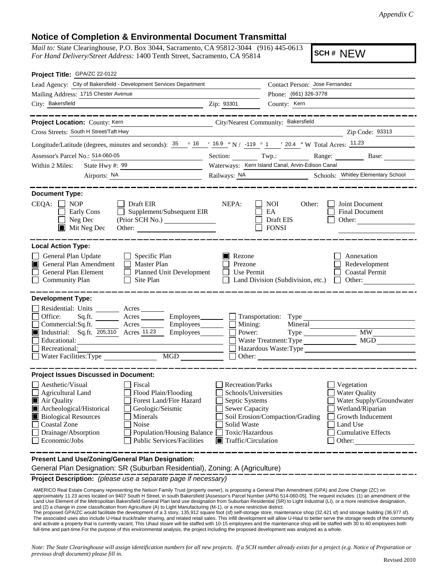*Appendix C*

## **Notice of Completion & Environmental Document Transmittal**

*Mail to:* State Clearinghouse, P.O. Box 3044, Sacramento, CA 95812-3044 (916) 445-0613 *For Hand Delivery/Street Address:* 1400 Tenth Street, Sacramento, CA 95814

**SCH #** NEW

| Project Title: GPA/ZC 22-0122                                                                                                                                                                                                                                                                                                                                           |                                                                                                                                                             |                                                                  |                                                                                                                                                            |  |  |  |  |
|-------------------------------------------------------------------------------------------------------------------------------------------------------------------------------------------------------------------------------------------------------------------------------------------------------------------------------------------------------------------------|-------------------------------------------------------------------------------------------------------------------------------------------------------------|------------------------------------------------------------------|------------------------------------------------------------------------------------------------------------------------------------------------------------|--|--|--|--|
| Lead Agency: City of Bakersfield - Development Services Department                                                                                                                                                                                                                                                                                                      |                                                                                                                                                             | Contact Person: Jose Fernandez                                   |                                                                                                                                                            |  |  |  |  |
| Mailing Address: 1715 Chester Avenue                                                                                                                                                                                                                                                                                                                                    |                                                                                                                                                             | Phone: (661) 326-3778                                            |                                                                                                                                                            |  |  |  |  |
| City: Bakersfield<br><u> 1980 - Johann Barn, mars ann an t-Amhair an t-Amhair an t-Amhair an t-Amhair an t-Amhair an t-Amhair an t-A</u>                                                                                                                                                                                                                                | Zip: 93301                                                                                                                                                  | County: Kern                                                     |                                                                                                                                                            |  |  |  |  |
| _____________________                                                                                                                                                                                                                                                                                                                                                   |                                                                                                                                                             |                                                                  | _________________                                                                                                                                          |  |  |  |  |
| Project Location: County: Kern<br>City/Nearest Community: Bakersfield                                                                                                                                                                                                                                                                                                   |                                                                                                                                                             |                                                                  |                                                                                                                                                            |  |  |  |  |
| Cross Streets: South H Street/Taft Hwy                                                                                                                                                                                                                                                                                                                                  |                                                                                                                                                             |                                                                  | Zip Code: 93313                                                                                                                                            |  |  |  |  |
| Longitude/Latitude (degrees, minutes and seconds): $35^\circ$ $\frac{16}{16}$ $\frac{16.9}{16.9}$ N / -119 ° 1 $\cdot$ 20.4 " W Total Acres: $\frac{11.23}{16.9}$                                                                                                                                                                                                       |                                                                                                                                                             |                                                                  |                                                                                                                                                            |  |  |  |  |
| Assessor's Parcel No.: 514-060-05<br><u> 1989 - Johann Barbara, politik eta politikar</u>                                                                                                                                                                                                                                                                               |                                                                                                                                                             |                                                                  | Section: Twp.: Range: Base:                                                                                                                                |  |  |  |  |
| State Hwy $\#$ : $\frac{99}{ }$<br>Within 2 Miles:                                                                                                                                                                                                                                                                                                                      |                                                                                                                                                             | Waterways: Kern Island Canal, Arvin-Edison Canal                 |                                                                                                                                                            |  |  |  |  |
| Airports: NA                                                                                                                                                                                                                                                                                                                                                            | Railways: NA                                                                                                                                                |                                                                  | Schools: Whitley Elementary School                                                                                                                         |  |  |  |  |
| <b>Document Type:</b><br>$CEQA: \Box NOP$<br>Draft EIR<br>$\Box$ Supplement/Subsequent EIR<br>Early Cons<br>Neg Dec<br>$\blacksquare$ Mit Neg Dec<br>Other:                                                                                                                                                                                                             | NEPA:                                                                                                                                                       | NOI<br>Other:<br>EA<br>Draft EIS<br><b>FONSI</b>                 | Joint Document<br>Final Document<br>Other:                                                                                                                 |  |  |  |  |
| <b>Local Action Type:</b><br>General Plan Update<br>$\Box$ Specific Plan<br>$\Box$ Master Plan<br>General Plan Amendment<br>General Plan Element<br>Planned Unit Development<br>Community Plan<br>Site Plan                                                                                                                                                             | Rezone<br>Prezone<br>$\Box$<br>Use Permit                                                                                                                   | Land Division (Subdivision, etc.)                                | Annexation<br>Redevelopment<br><b>Coastal Permit</b><br>Other:<br>$\Box$                                                                                   |  |  |  |  |
| <b>Development Type:</b>                                                                                                                                                                                                                                                                                                                                                |                                                                                                                                                             |                                                                  |                                                                                                                                                            |  |  |  |  |
| Residential: Units _________ Acres _______<br>Acres ___________ Employees<br>Office:<br>Sq.fit.<br>Commercial:Sq.ft. Acres Employees [11.23]<br>Industrial: Sq.ft. $\overline{205,310}$ Acres $\overline{11.23}$ Employees [11.23]<br>Educational:<br>Recreational:<br>$\overline{\text{MGD}}$                                                                          | $\Box$ Mining:<br>Power:                                                                                                                                    | Mineral<br>$Type \_\_$<br>Waste Treatment: Type<br>$\Box$ Other: | <b>MW</b><br>MGD<br>Hazardous Waste: Type                                                                                                                  |  |  |  |  |
| <b>Project Issues Discussed in Document:</b>                                                                                                                                                                                                                                                                                                                            |                                                                                                                                                             |                                                                  |                                                                                                                                                            |  |  |  |  |
| Aesthetic/Visual<br>Fiscal<br><b>Agricultural Land</b><br>Flood Plain/Flooding<br>Forest Land/Fire Hazard<br>■ Air Quality<br>Archeological/Historical<br>Geologic/Seismic<br><b>Biological Resources</b><br>Minerals<br><b>Coastal Zone</b><br>Noise<br>Drainage/Absorption<br><b>Population/Housing Balance</b><br>Economic/Jobs<br><b>Public Services/Facilities</b> | <b>Recreation/Parks</b><br>Schools/Universities<br>Septic Systems<br>Sewer Capacity<br>Solid Waste<br>Toxic/Hazardous<br>$\blacksquare$ Traffic/Circulation | Soil Erosion/Compaction/Grading                                  | Vegetation<br><b>Water Quality</b><br>Water Supply/Groundwater<br>Wetland/Riparian<br>Growth Inducement<br>Land Use<br><b>Cumulative Effects</b><br>Other: |  |  |  |  |
| Present Land Use/Zoning/General Plan Designation:                                                                                                                                                                                                                                                                                                                       |                                                                                                                                                             |                                                                  |                                                                                                                                                            |  |  |  |  |
| General Plan Designation: SR (Suburban Residential), Zoning: A (Agriculture)                                                                                                                                                                                                                                                                                            |                                                                                                                                                             |                                                                  |                                                                                                                                                            |  |  |  |  |

**Project Description:** *(please use a separate page if necessary)*

AMERICO Real Estate Company representing the Nelson Family Trust (property owner), is proposing a General Plan Amendment (GPA) and Zone Change (ZC) on<br>approximately 11.23 acres located on 9407 South H Street, in south Bake and (2) a change in zone classification from Agriculture (A) to Light Manufacturing (M-1), or a more restrictive district.

The proposed GPA/ZC would facilitate the development of a 3 story, 135,912 square foot (sf) self-storage store, maintenance shop (32,421 sf) and storage building (36,977 sf). The associated uses also include U-Haul truck/trailer sharing, and related retail sales. This infill development will allow U-Haul to better serve the storage needs of the community and activate a property that is currently vacant. This Uhaul stoare will be staffed with 10-15 employees and the maintenance shop will be staffed with 30 to 40 employees both full-time and part-time.For the purpose of this environmental analysis, the project including the proposed development was analyzed as a whole.

*Note: The State Clearinghouse will assign identification numbers for all new projects. If a SCH number already exists for a project (e.g. Notice of Preparation or previous draft document) please fill in.*